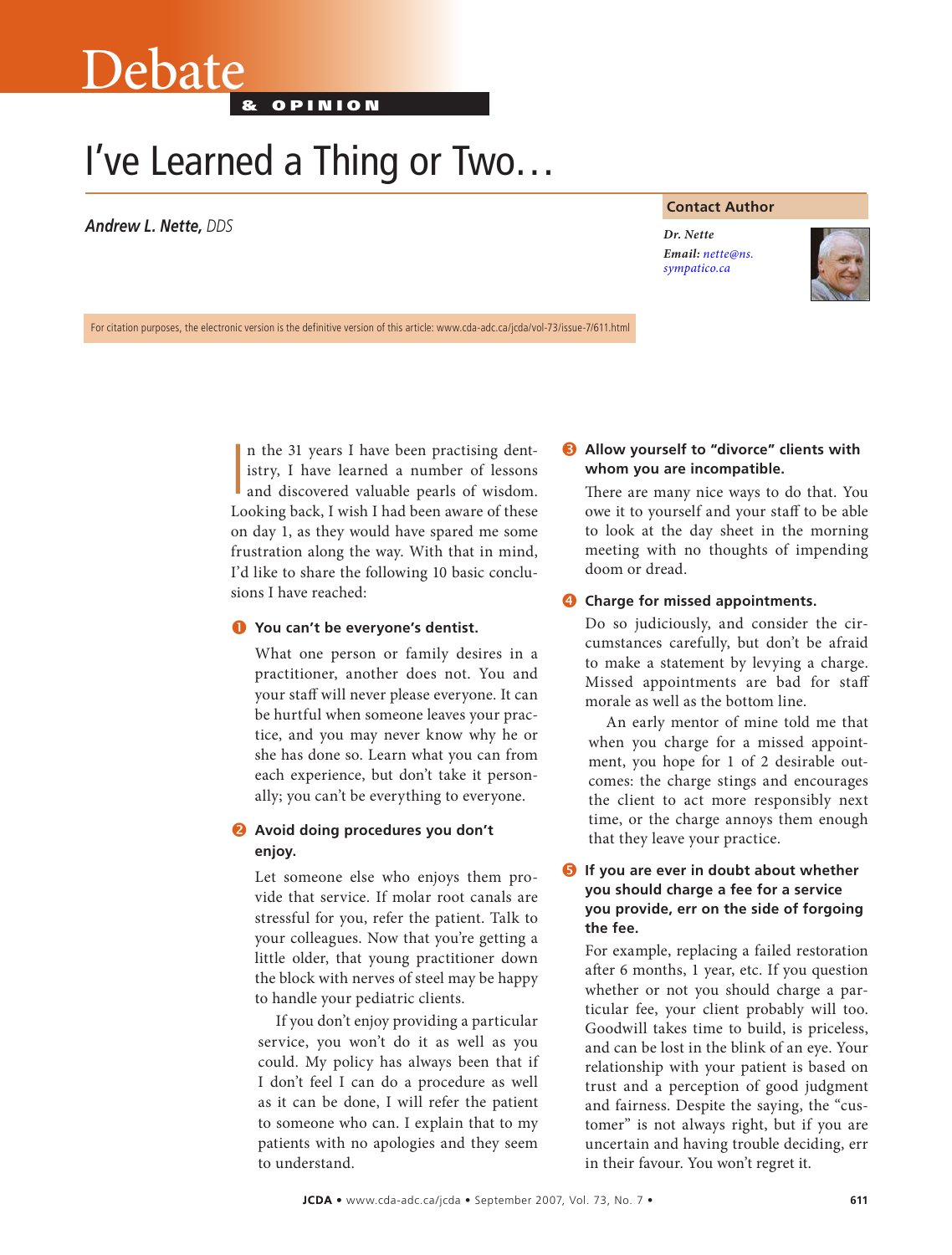# Debate

& o p i n i o n

# I've Learned a Thing or Two…

*Andrew L. Nette, DDS Dr. Nette*

#### **Contact Author**

*Email: nette@ns. [sympatico.ca](mailto:nette@ns.sympatico.ca)*



For citation purposes, the electronic version is the definitive version of this article: www.cda-adc.ca/jcda/vol-73/issue-7/611.html

In the 31 years I have been practising dent-<br>istry, I have learned a number of lessons<br>and discovered valuable pearls of wisdom. n the 31 years I have been practising dentistry, I have learned a number of lessons Looking back, I wish I had been aware of these on day 1, as they would have spared me some frustration along the way. With that in mind, I'd like to share the following 10 basic conclusions I have reached:

# **You can't be everyone's dentist.**

What one person or family desires in a practitioner, another does not. You and your staff will never please everyone. It can be hurtful when someone leaves your practice, and you may never know why he or she has done so. Learn what you can from each experience, but don't take it personally; you can't be everything to everyone.

# **Avoid doing procedures you don't enjoy.**

Let someone else who enjoys them provide that service. If molar root canals are stressful for you, refer the patient. Talk to your colleagues. Now that you're getting a little older, that young practitioner down the block with nerves of steel may be happy to handle your pediatric clients.

If you don't enjoy providing a particular service, you won't do it as well as you could. My policy has always been that if I don't feel I can do a procedure as well as it can be done, I will refer the patient to someone who can. I explain that to my patients with no apologies and they seem to understand.

# **Allow yourself to "divorce" clients with whom you are incompatible.**

There are many nice ways to do that. You owe it to yourself and your staff to be able to look at the day sheet in the morning meeting with no thoughts of impending doom or dread.

# **Charge for missed appointments.**

Do so judiciously, and consider the circumstances carefully, but don't be afraid to make a statement by levying a charge. Missed appointments are bad for staff morale as well as the bottom line.

An early mentor of mine told me that when you charge for a missed appointment, you hope for 1 of 2 desirable outcomes: the charge stings and encourages the client to act more responsibly next time, or the charge annoys them enough that they leave your practice.

# **If you are ever in doubt about whether you should charge a fee for a service you provide, err on the side of forgoing the fee.**

For example, replacing a failed restoration after 6 months, 1 year, etc. If you question whether or not you should charge a particular fee, your client probably will too. Goodwill takes time to build, is priceless, and can be lost in the blink of an eye. Your relationship with your patient is based on trust and a perception of good judgment and fairness. Despite the saying, the "customer" is not always right, but if you are uncertain and having trouble deciding, err in their favour. You won't regret it.